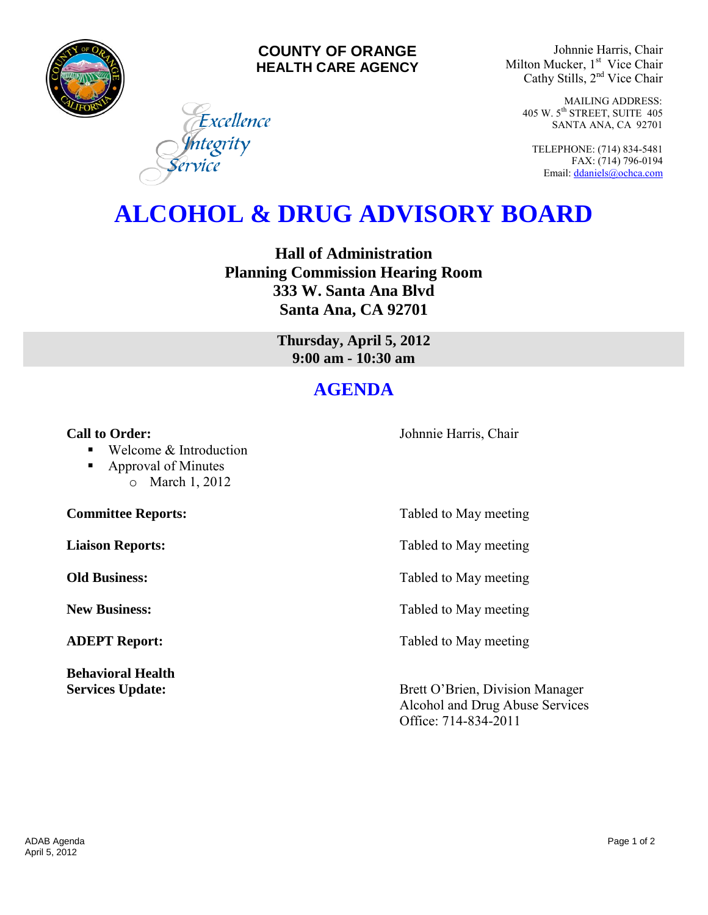

### **COUNTY OF ORANGE HEALTH CARE AGENCY**

Johnnie Harris, Chair Milton Mucker, 1<sup>st</sup> Vice Chair Cathy Stills, 2<sup>nd</sup> Vice Chair

> MAILING ADDRESS: 405 W. 5th STREET, SUITE 405 SANTA ANA, CA 92701

TELEPHONE: (714) 834-5481 FAX: (714) 796-0194 Email[: ddaniels@ochca.com](mailto:ddaniels@ochca.com)

# **ALCOHOL & DRUG ADVISORY BOARD**

**Hall of Administration Planning Commission Hearing Room 333 W. Santa Ana Blvd Santa Ana, CA 92701** 

> **Thursday, April 5, 2012 9:00 am - 10:30 am**

# **AGENDA**

#### **Call to Order: Call to Order: Johnnie Harris, Chair**

■ Welcome & Introduction

Excellence

ntegrity

■ Approval of Minutes o March 1, 2012

**Behavioral Health** 

**Committee Reports:** Tabled to May meeting

**Liaison Reports:** Tabled to May meeting

**Old Business:** Tabled to May meeting

**New Business:** Tabled to May meeting

**ADEPT Report:** Tabled to May meeting

**Services Update:** Brett O'Brien, Division Manager Alcohol and Drug Abuse Services Office: 714-834-2011